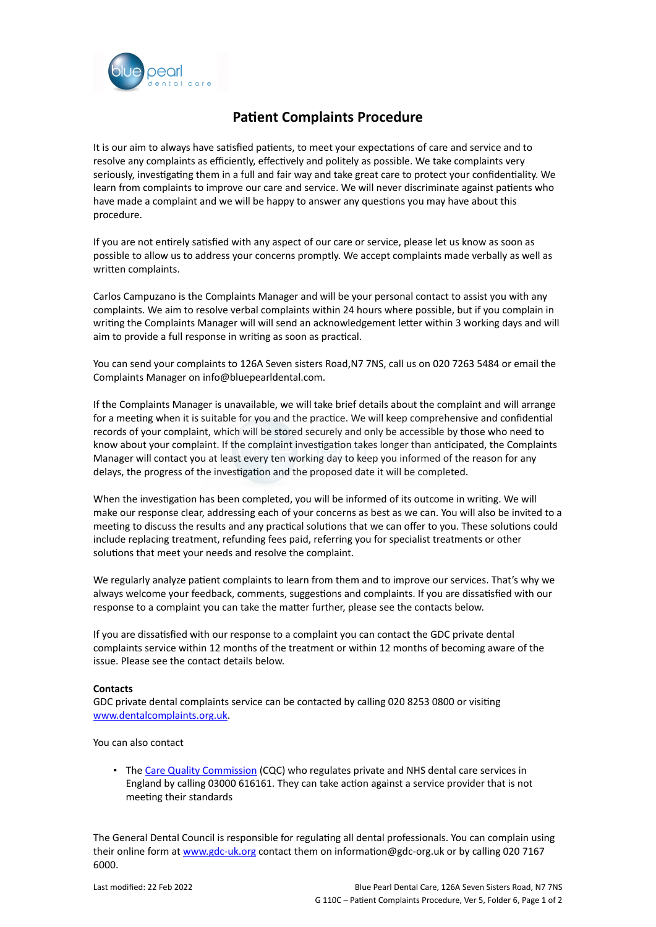

## **Patient Complaints Procedure**

It is our aim to always have satisfied patients, to meet your expectations of care and service and to resolve any complaints as efficiently, effectively and politely as possible. We take complaints very seriously, investigating them in a full and fair way and take great care to protect your confidentiality. We learn from complaints to improve our care and service. We will never discriminate against patients who have made a complaint and we will be happy to answer any questions you may have about this procedure.

If you are not entirely satisfied with any aspect of our care or service, please let us know as soon as possible to allow us to address your concerns promptly. We accept complaints made verbally as well as written complaints.

Carlos Campuzano is the Complaints Manager and will be your personal contact to assist you with any complaints. We aim to resolve verbal complaints within 24 hours where possible, but if you complain in writing the Complaints Manager will will send an acknowledgement letter within 3 working days and will aim to provide a full response in writing as soon as practical.

You can send your complaints to 126A Seven sisters Road,N7 7NS, call us on 020 7263 5484 or email the Complaints Manager on info@bluepearldental.com.

If the Complaints Manager is unavailable, we will take brief details about the complaint and will arrange for a meeting when it is suitable for you and the practice. We will keep comprehensive and confidential records of your complaint, which will be stored securely and only be accessible by those who need to know about your complaint. If the complaint investigation takes longer than anticipated, the Complaints Manager will contact you at least every ten working day to keep you informed of the reason for any delays, the progress of the investigation and the proposed date it will be completed.

When the investigation has been completed, you will be informed of its outcome in writing. We will make our response clear, addressing each of your concerns as best as we can. You will also be invited to a meeting to discuss the results and any practical solutions that we can offer to you. These solutions could include replacing treatment, refunding fees paid, referring you for specialist treatments or other solutions that meet your needs and resolve the complaint.

We regularly analyze patient complaints to learn from them and to improve our services. That's why we always welcome your feedback, comments, suggestions and complaints. If you are dissatisfied with our response to a complaint you can take the matter further, please see the contacts below.

If you are dissatisfied with our response to a complaint you can contact the GDC private dental complaints service within 12 months of the treatment or within 12 months of becoming aware of the issue. Please see the contact details below.

## **Contacts**

GDC private dental complaints service can be contacted by calling 020 8253 0800 or visiting [www.dentalcomplaints.org.uk.](http://www.dentalcomplaints.org.uk/)

You can also contact

**• The [Care Quality Commission](http://www.cqc.org.uk/) (CQC) who regulates private and NHS dental care services in** England by calling 03000 616161. They can take action against a service provider that is not meeting their standards

The General Dental Council is responsible for regulating all dental professionals. You can complain using their online form at [www.gdc-uk.org](http://contactus.gdc-uk.org/Enquiry/SelectType) contact them on information@gdc-org.uk or by calling 020 7167 6000.